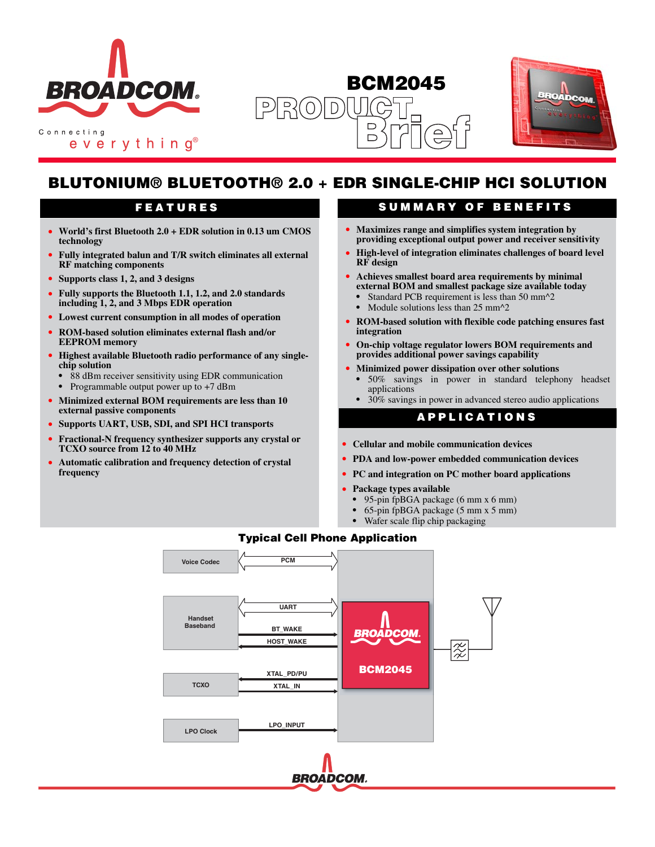

everything<sup>®</sup>

## **BCM2045**  $R(0)$  $\boxed{D}$  $\Box$



# **BLUTONIUM® BLUETOOTH® 2.0 + EDR SINGLE-CHIP HCI SOLUTION**

- **• World's first Bluetooth 2.0 + EDR solution in 0.13 um CMOS technology**
- **• Fully integrated balun and T/R switch eliminates all external RF matching components**
- **• Supports class 1, 2, and 3 designs**
- **• Fully supports the Bluetooth 1.1, 1.2, and 2.0 standards including 1, 2, and 3 Mbps EDR operation**
- **• Lowest current consumption in all modes of operation**
- **• ROM-based solution eliminates external flash and/or EEPROM memory**
- **• Highest available Bluetooth radio performance of any singlechip solution**
	- **•** 88 dBm receiver sensitivity using EDR communication
- **•** Programmable output power up to +7 dBm
- **• Minimized external BOM requirements are less than 10 external passive components**
- **• Supports UART, USB, SDI, and SPI HCI transports**
- **• Fractional-N frequency synthesizer supports any crystal or TCXO source from 12 to 40 MHz**
- **• Automatic calibration and frequency detection of crystal frequency**

## **FEATURES SUMMARY OF BENEFITS**

- **• Maximizes range and simplifies system integration by providing exceptional output power and receiver sensitivity**
- **• High-level of integration eliminates challenges of board level RF design**
- **• Achieves smallest board area requirements by minimal external BOM and smallest package size available today**
	- Standard PCB requirement is less than 50 mm<sup>2</sup>2
	- Module solutions less than 25 mm<sup>2</sup>
- **• ROM-based solution with flexible code patching ensures fast integration**
- **• On-chip voltage regulator lowers BOM requirements and provides additional power savings capability**
- **• Minimized power dissipation over other solutions**
	- **•** 50% savings in power in standard telephony headset applications
	- **•** 30% savings in power in advanced stereo audio applications

#### **APPLICATIONS**

- **• Cellular and mobile communication devices**
- **• PDA and low-power embedded communication devices**
- **• PC and integration on PC mother board applications**
- **• Package types available**
	- **•** 95-pin fpBGA package (6 mm x 6 mm)
	- **•** 65-pin fpBGA package (5 mm x 5 mm)
	- **•** Wafer scale flip chip packaging



#### **Typical Cell Phone Application**